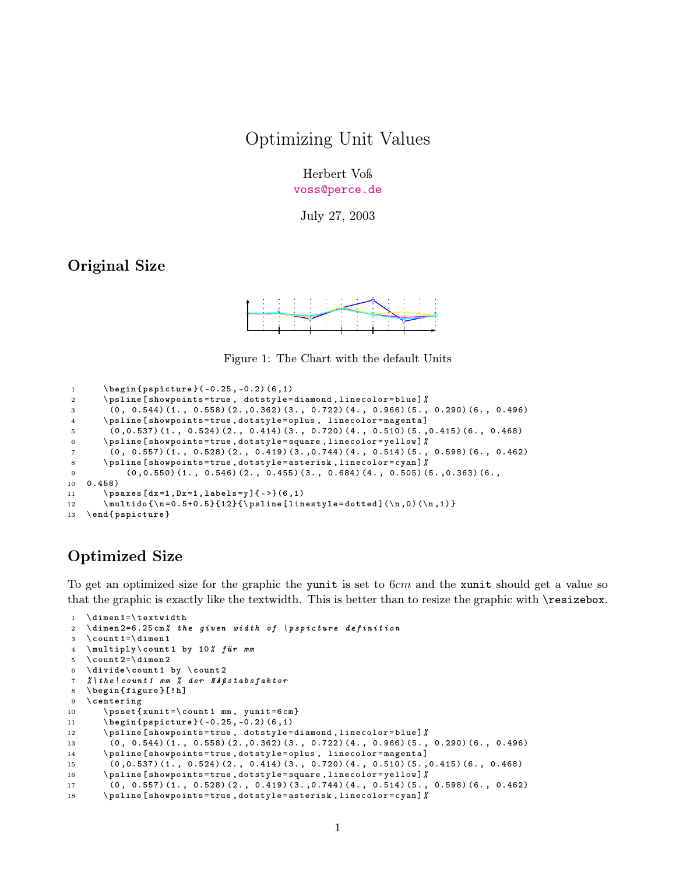## Optimizing Unit Values

Herbert Voß <voss@perce.de>

July 27, 2003

## Original Size



Figure 1: The Chart with the default Units

```
1 \begin{pspicture}(-0.25, -0.2)(6,1)
2 \ psline [ showpoints = true , dotstyle = diamond , linecolor = blue ]%
3 (0 , 0.544) (1. , 0.558) (2. ,0.362) (3. , 0.722) (4. , 0.966) (5. , 0.290) (6. , 0.496)
4 \ psline [ showpoints = true , dotstyle = oplus , linecolor = magenta ]
5 (0 ,0.537) (1. , 0.524) (2. , 0.414) (3. , 0.720) (4. , 0.510) (5. ,0.415) (6. , 0.468)
6 \ psline [ showpoints = true , dotstyle = square , linecolor = yellow ]%
7 (0, 0.557) (1., 0.528) (2., 0.419) (3., 0.744) (4., 0.514) (5., 0.598) (6., 0.462)8 \ psline [ showpoints = true , dotstyle = asterisk , linecolor = cyan ]%
9 (0 ,0.550) (1. , 0.546) (2. , 0.455) (3. , 0.684) (4. , 0.505) (5. ,0.363) (6. ,
10 0.458)
11 \ psaxes [dx = 1, Dx = 1, labels = y] { ->}(6,1)
12 \ multido {\n = 0.5+0.5}{12}{\psline [linestyle = dotted](\n,0)(\n,1) }
13 \ end { pspicture }
```
## Optimized Size

To get an optimized size for the graphic the yunit is set to 6*cm* and the xunit should get a value so that the graphic is exactly like the textwidth. This is better than to resize the graphic with \resizebox.

```
1 \ dimen 1=\ textwidth
2 \ dimen 2=6.25 cm% the given width of \ pspicture definition
3 \count 1=\dim en 14 \multiply\count1 by 10% für mm
5 \ \ \ \count 2=\dimen 26 \divide\count1 by \count2
7 %\ the \ count 1 mm % der NAßstabsfaktor
 8 \ begin { figure }[! h]
9 \ centering
10 \psset {xunit = \count1 mm, yunit = 6 cm}11 \begin { pspicture } (-0.25, -0.2) (6,1)
12 \psline [showpoints=true, dotstyle=diamond, linecolor=blue] \chi13 (0 , 0.544) (1. , 0.558) (2. ,0.362) (3. , 0.722) (4. , 0.966) (5. , 0.290) (6. , 0.496)
14 \ psline [ showpoints = true , dotstyle = oplus , linecolor = magenta ]
15 (0 ,0.537) (1. , 0.524) (2. , 0.414) (3. , 0.720) (4. , 0.510) (5. ,0.415) (6. , 0.468)
16 \ psline [ showpoints = true , dotstyle = square , linecolor = yellow ]%
17 (0 , 0.557) (1. , 0.528) (2. , 0.419) (3. ,0.744) (4. , 0.514) (5. , 0.598) (6. , 0.462)
18 \ psline [ showpoints = true , dotstyle = asterisk , linecolor = cyan ]%
```